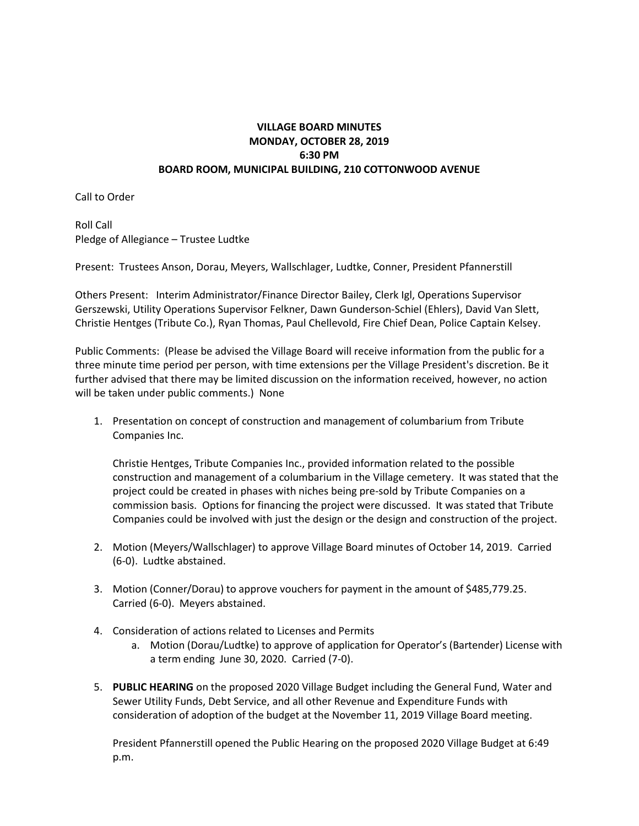## **VILLAGE BOARD MINUTES MONDAY, OCTOBER 28, 2019 6:30 PM BOARD ROOM, MUNICIPAL BUILDING, 210 COTTONWOOD AVENUE**

Call to Order

Roll Call Pledge of Allegiance – Trustee Ludtke

Present: Trustees Anson, Dorau, Meyers, Wallschlager, Ludtke, Conner, President Pfannerstill

Others Present: Interim Administrator/Finance Director Bailey, Clerk Igl, Operations Supervisor Gerszewski, Utility Operations Supervisor Felkner, Dawn Gunderson-Schiel (Ehlers), David Van Slett, Christie Hentges (Tribute Co.), Ryan Thomas, Paul Chellevold, Fire Chief Dean, Police Captain Kelsey.

Public Comments: (Please be advised the Village Board will receive information from the public for a three minute time period per person, with time extensions per the Village President's discretion. Be it further advised that there may be limited discussion on the information received, however, no action will be taken under public comments.) None

1. Presentation on concept of construction and management of columbarium from Tribute Companies Inc.

Christie Hentges, Tribute Companies Inc., provided information related to the possible construction and management of a columbarium in the Village cemetery. It was stated that the project could be created in phases with niches being pre-sold by Tribute Companies on a commission basis. Options for financing the project were discussed. It was stated that Tribute Companies could be involved with just the design or the design and construction of the project.

- 2. Motion (Meyers/Wallschlager) to approve Village Board minutes of October 14, 2019. Carried (6-0). Ludtke abstained.
- 3. Motion (Conner/Dorau) to approve vouchers for payment in the amount of \$485,779.25. Carried (6-0). Meyers abstained.
- 4. Consideration of actions related to Licenses and Permits
	- a. Motion (Dorau/Ludtke) to approve of application for Operator's (Bartender) License with a term ending June 30, 2020. Carried (7-0).
- 5. **PUBLIC HEARING** on the proposed 2020 Village Budget including the General Fund, Water and Sewer Utility Funds, Debt Service, and all other Revenue and Expenditure Funds with consideration of adoption of the budget at the November 11, 2019 Village Board meeting.

President Pfannerstill opened the Public Hearing on the proposed 2020 Village Budget at 6:49 p.m.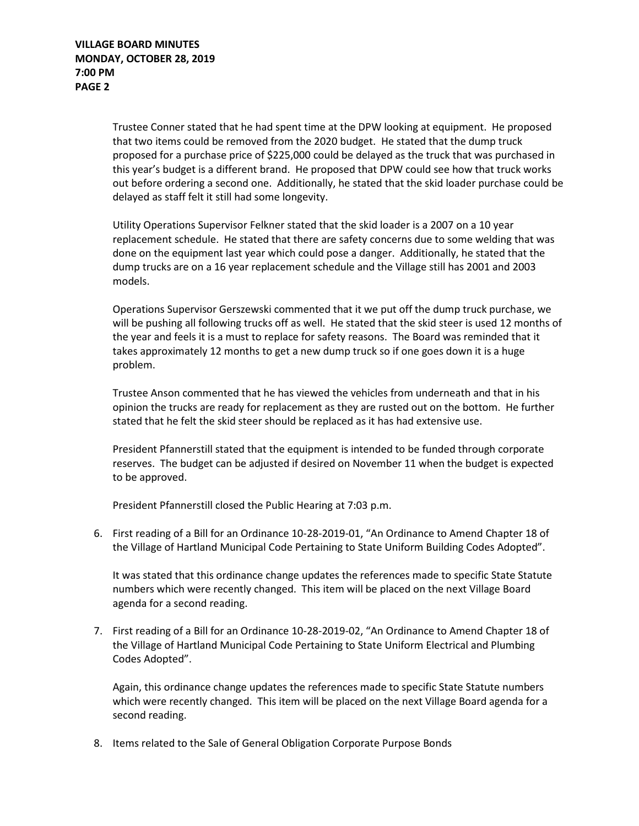Trustee Conner stated that he had spent time at the DPW looking at equipment. He proposed that two items could be removed from the 2020 budget. He stated that the dump truck proposed for a purchase price of \$225,000 could be delayed as the truck that was purchased in this year's budget is a different brand. He proposed that DPW could see how that truck works out before ordering a second one. Additionally, he stated that the skid loader purchase could be delayed as staff felt it still had some longevity.

Utility Operations Supervisor Felkner stated that the skid loader is a 2007 on a 10 year replacement schedule. He stated that there are safety concerns due to some welding that was done on the equipment last year which could pose a danger. Additionally, he stated that the dump trucks are on a 16 year replacement schedule and the Village still has 2001 and 2003 models.

Operations Supervisor Gerszewski commented that it we put off the dump truck purchase, we will be pushing all following trucks off as well. He stated that the skid steer is used 12 months of the year and feels it is a must to replace for safety reasons. The Board was reminded that it takes approximately 12 months to get a new dump truck so if one goes down it is a huge problem.

Trustee Anson commented that he has viewed the vehicles from underneath and that in his opinion the trucks are ready for replacement as they are rusted out on the bottom. He further stated that he felt the skid steer should be replaced as it has had extensive use.

President Pfannerstill stated that the equipment is intended to be funded through corporate reserves. The budget can be adjusted if desired on November 11 when the budget is expected to be approved.

President Pfannerstill closed the Public Hearing at 7:03 p.m.

6. First reading of a Bill for an Ordinance 10-28-2019-01, "An Ordinance to Amend Chapter 18 of the Village of Hartland Municipal Code Pertaining to State Uniform Building Codes Adopted".

It was stated that this ordinance change updates the references made to specific State Statute numbers which were recently changed. This item will be placed on the next Village Board agenda for a second reading.

7. First reading of a Bill for an Ordinance 10-28-2019-02, "An Ordinance to Amend Chapter 18 of the Village of Hartland Municipal Code Pertaining to State Uniform Electrical and Plumbing Codes Adopted".

Again, this ordinance change updates the references made to specific State Statute numbers which were recently changed. This item will be placed on the next Village Board agenda for a second reading.

8. Items related to the Sale of General Obligation Corporate Purpose Bonds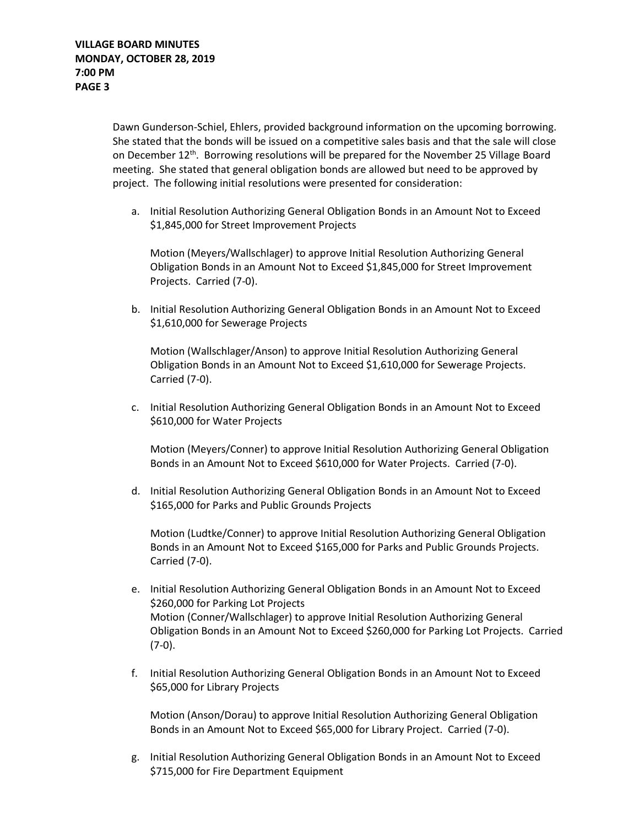Dawn Gunderson-Schiel, Ehlers, provided background information on the upcoming borrowing. She stated that the bonds will be issued on a competitive sales basis and that the sale will close on December 12<sup>th</sup>. Borrowing resolutions will be prepared for the November 25 Village Board meeting. She stated that general obligation bonds are allowed but need to be approved by project. The following initial resolutions were presented for consideration:

a. Initial Resolution Authorizing General Obligation Bonds in an Amount Not to Exceed \$1,845,000 for Street Improvement Projects

Motion (Meyers/Wallschlager) to approve Initial Resolution Authorizing General Obligation Bonds in an Amount Not to Exceed \$1,845,000 for Street Improvement Projects. Carried (7-0).

b. Initial Resolution Authorizing General Obligation Bonds in an Amount Not to Exceed \$1,610,000 for Sewerage Projects

Motion (Wallschlager/Anson) to approve Initial Resolution Authorizing General Obligation Bonds in an Amount Not to Exceed \$1,610,000 for Sewerage Projects. Carried (7-0).

c. Initial Resolution Authorizing General Obligation Bonds in an Amount Not to Exceed \$610,000 for Water Projects

Motion (Meyers/Conner) to approve Initial Resolution Authorizing General Obligation Bonds in an Amount Not to Exceed \$610,000 for Water Projects. Carried (7-0).

d. Initial Resolution Authorizing General Obligation Bonds in an Amount Not to Exceed \$165,000 for Parks and Public Grounds Projects

Motion (Ludtke/Conner) to approve Initial Resolution Authorizing General Obligation Bonds in an Amount Not to Exceed \$165,000 for Parks and Public Grounds Projects. Carried (7-0).

- e. Initial Resolution Authorizing General Obligation Bonds in an Amount Not to Exceed \$260,000 for Parking Lot Projects Motion (Conner/Wallschlager) to approve Initial Resolution Authorizing General Obligation Bonds in an Amount Not to Exceed \$260,000 for Parking Lot Projects. Carried (7-0).
- f. Initial Resolution Authorizing General Obligation Bonds in an Amount Not to Exceed \$65,000 for Library Projects

Motion (Anson/Dorau) to approve Initial Resolution Authorizing General Obligation Bonds in an Amount Not to Exceed \$65,000 for Library Project. Carried (7-0).

g. Initial Resolution Authorizing General Obligation Bonds in an Amount Not to Exceed \$715,000 for Fire Department Equipment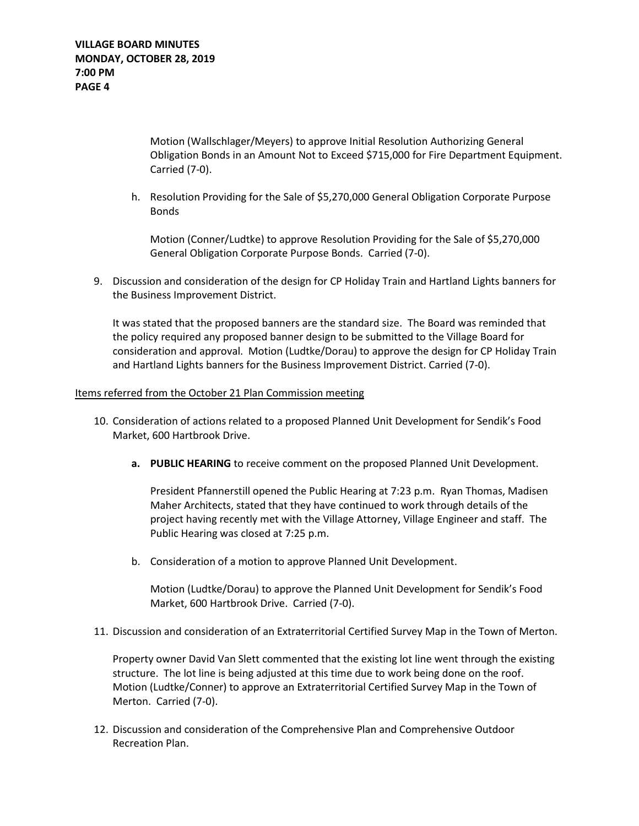Motion (Wallschlager/Meyers) to approve Initial Resolution Authorizing General Obligation Bonds in an Amount Not to Exceed \$715,000 for Fire Department Equipment. Carried (7-0).

h. Resolution Providing for the Sale of \$5,270,000 General Obligation Corporate Purpose Bonds

Motion (Conner/Ludtke) to approve Resolution Providing for the Sale of \$5,270,000 General Obligation Corporate Purpose Bonds. Carried (7-0).

9. Discussion and consideration of the design for CP Holiday Train and Hartland Lights banners for the Business Improvement District.

It was stated that the proposed banners are the standard size. The Board was reminded that the policy required any proposed banner design to be submitted to the Village Board for consideration and approval. Motion (Ludtke/Dorau) to approve the design for CP Holiday Train and Hartland Lights banners for the Business Improvement District. Carried (7-0).

## Items referred from the October 21 Plan Commission meeting

- 10. Consideration of actions related to a proposed Planned Unit Development for Sendik's Food Market, 600 Hartbrook Drive.
	- **a. PUBLIC HEARING** to receive comment on the proposed Planned Unit Development.

President Pfannerstill opened the Public Hearing at 7:23 p.m. Ryan Thomas, Madisen Maher Architects, stated that they have continued to work through details of the project having recently met with the Village Attorney, Village Engineer and staff. The Public Hearing was closed at 7:25 p.m.

b. Consideration of a motion to approve Planned Unit Development.

Motion (Ludtke/Dorau) to approve the Planned Unit Development for Sendik's Food Market, 600 Hartbrook Drive. Carried (7-0).

11. Discussion and consideration of an Extraterritorial Certified Survey Map in the Town of Merton.

Property owner David Van Slett commented that the existing lot line went through the existing structure. The lot line is being adjusted at this time due to work being done on the roof. Motion (Ludtke/Conner) to approve an Extraterritorial Certified Survey Map in the Town of Merton. Carried (7-0).

12. Discussion and consideration of the Comprehensive Plan and Comprehensive Outdoor Recreation Plan.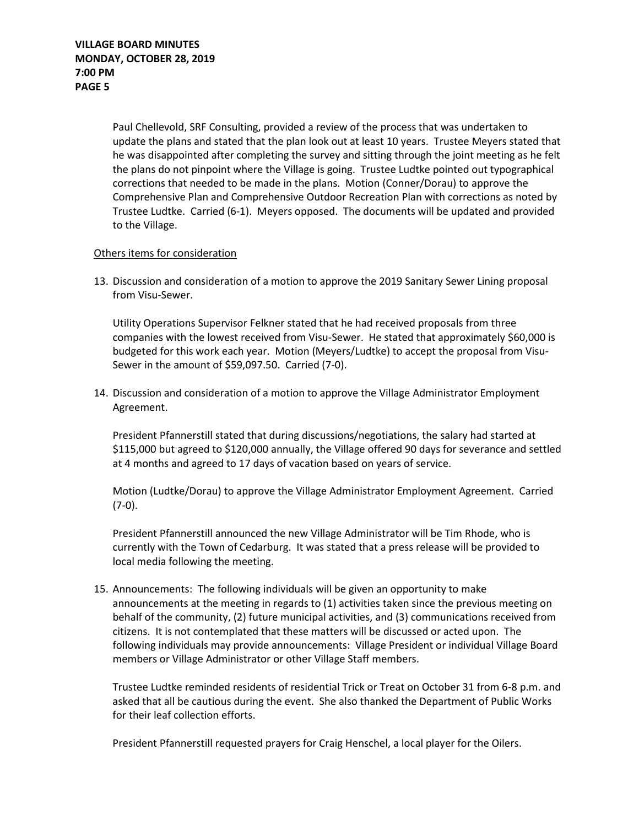Paul Chellevold, SRF Consulting, provided a review of the process that was undertaken to update the plans and stated that the plan look out at least 10 years. Trustee Meyers stated that he was disappointed after completing the survey and sitting through the joint meeting as he felt the plans do not pinpoint where the Village is going. Trustee Ludtke pointed out typographical corrections that needed to be made in the plans. Motion (Conner/Dorau) to approve the Comprehensive Plan and Comprehensive Outdoor Recreation Plan with corrections as noted by Trustee Ludtke. Carried (6-1). Meyers opposed. The documents will be updated and provided to the Village.

## Others items for consideration

13. Discussion and consideration of a motion to approve the 2019 Sanitary Sewer Lining proposal from Visu-Sewer.

Utility Operations Supervisor Felkner stated that he had received proposals from three companies with the lowest received from Visu-Sewer. He stated that approximately \$60,000 is budgeted for this work each year. Motion (Meyers/Ludtke) to accept the proposal from Visu-Sewer in the amount of \$59,097.50. Carried (7-0).

14. Discussion and consideration of a motion to approve the Village Administrator Employment Agreement.

President Pfannerstill stated that during discussions/negotiations, the salary had started at \$115,000 but agreed to \$120,000 annually, the Village offered 90 days for severance and settled at 4 months and agreed to 17 days of vacation based on years of service.

Motion (Ludtke/Dorau) to approve the Village Administrator Employment Agreement. Carried (7-0).

President Pfannerstill announced the new Village Administrator will be Tim Rhode, who is currently with the Town of Cedarburg. It was stated that a press release will be provided to local media following the meeting.

15. Announcements: The following individuals will be given an opportunity to make announcements at the meeting in regards to (1) activities taken since the previous meeting on behalf of the community, (2) future municipal activities, and (3) communications received from citizens. It is not contemplated that these matters will be discussed or acted upon. The following individuals may provide announcements: Village President or individual Village Board members or Village Administrator or other Village Staff members.

Trustee Ludtke reminded residents of residential Trick or Treat on October 31 from 6-8 p.m. and asked that all be cautious during the event. She also thanked the Department of Public Works for their leaf collection efforts.

President Pfannerstill requested prayers for Craig Henschel, a local player for the Oilers.